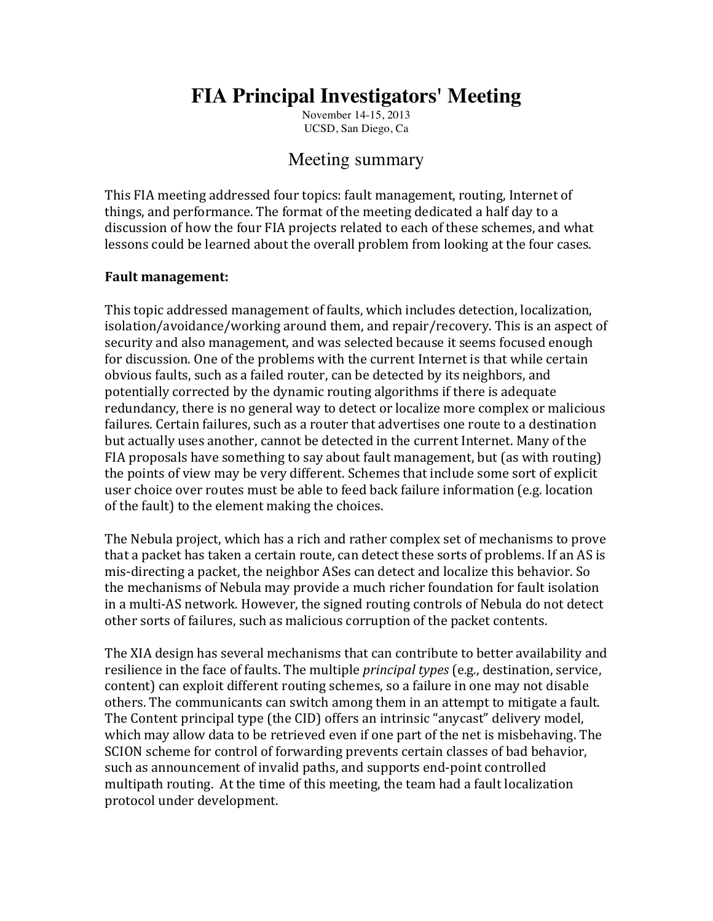# **FIA Principal Investigators' Meeting**

November 14-15, 2013 UCSD, San Diego, Ca

## Meeting summary

This FIA meeting addressed four topics: fault management, routing, Internet of things, and performance. The format of the meeting dedicated a half day to a discussion of how the four FIA projects related to each of these schemes, and what lessons could be learned about the overall problem from looking at the four cases.

#### **Fault management:**

This topic addressed management of faults, which includes detection, localization, isolation/avoidance/working around them, and repair/recovery. This is an aspect of security and also management, and was selected because it seems focused enough for discussion. One of the problems with the current Internet is that while certain obvious faults, such as a failed router, can be detected by its neighbors, and potentially corrected by the dynamic routing algorithms if there is adequate redundancy, there is no general way to detect or localize more complex or malicious failures. Certain failures, such as a router that advertises one route to a destination but actually uses another, cannot be detected in the current Internet. Many of the FIA proposals have something to say about fault management, but (as with routing) the points of view may be very different. Schemes that include some sort of explicit user choice over routes must be able to feed back failure information (e.g. location of the fault) to the element making the choices.

The Nebula project, which has a rich and rather complex set of mechanisms to prove that a packet has taken a certain route, can detect these sorts of problems. If an AS is mis-directing a packet, the neighbor ASes can detect and localize this behavior. So the mechanisms of Nebula may provide a much richer foundation for fault isolation in a multi-AS network. However, the signed routing controls of Nebula do not detect other sorts of failures, such as malicious corruption of the packet contents.

The XIA design has several mechanisms that can contribute to better availability and resilience in the face of faults. The multiple *principal types* (e.g., destination, service, content) can exploit different routing schemes, so a failure in one may not disable others. The communicants can switch among them in an attempt to mitigate a fault. The Content principal type (the CID) offers an intrinsic "anycast" delivery model, which may allow data to be retrieved even if one part of the net is misbehaving. The SCION scheme for control of forwarding prevents certain classes of bad behavior, such as announcement of invalid paths, and supports end-point controlled multipath routing. At the time of this meeting, the team had a fault localization protocol under development.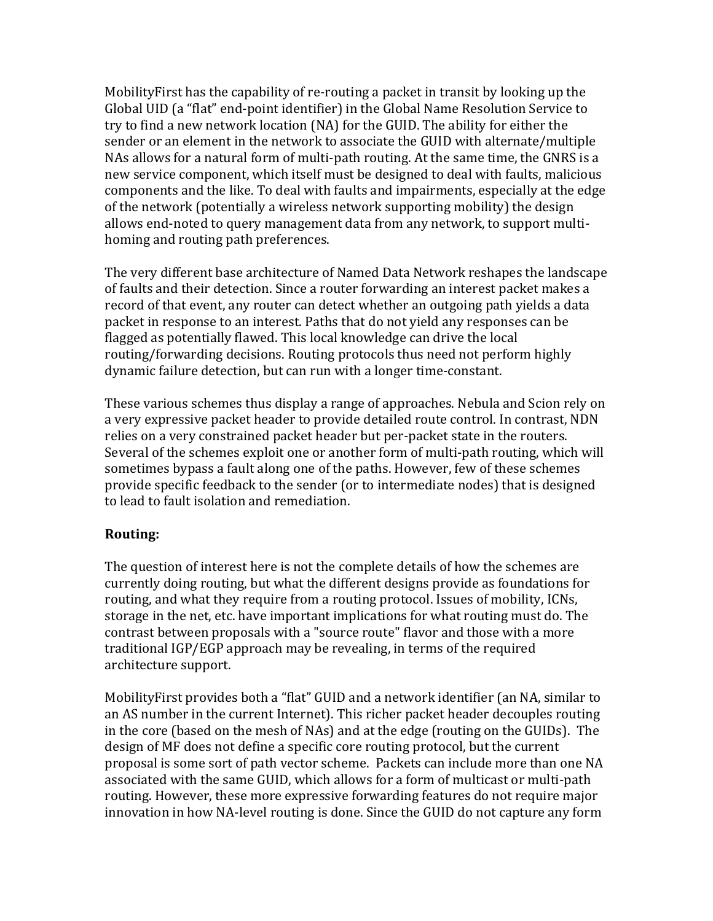Mobility First has the capability of re-routing a packet in transit by looking up the Global UID (a "flat" end-point identifier) in the Global Name Resolution Service to try to find a new network location (NA) for the GUID. The ability for either the sender or an element in the network to associate the GUID with alternate/multiple NAs allows for a natural form of multi-path routing. At the same time, the GNRS is a new service component, which itself must be designed to deal with faults, malicious components and the like. To deal with faults and impairments, especially at the edge of the network (potentially a wireless network supporting mobility) the design allows end-noted to query management data from any network, to support multihoming and routing path preferences.

The very different base architecture of Named Data Network reshapes the landscape of faults and their detection. Since a router forwarding an interest packet makes a record of that event, any router can detect whether an outgoing path yields a data packet in response to an interest. Paths that do not vield any responses can be flagged as potentially flawed. This local knowledge can drive the local routing/forwarding decisions. Routing protocols thus need not perform highly dynamic failure detection, but can run with a longer time-constant.

These various schemes thus display a range of approaches. Nebula and Scion rely on a very expressive packet header to provide detailed route control. In contrast, NDN relies on a very constrained packet header but per-packet state in the routers. Several of the schemes exploit one or another form of multi-path routing, which will sometimes bypass a fault along one of the paths. However, few of these schemes provide specific feedback to the sender (or to intermediate nodes) that is designed to lead to fault isolation and remediation.

### **Routing:**

The question of interest here is not the complete details of how the schemes are currently doing routing, but what the different designs provide as foundations for routing, and what they require from a routing protocol. Issues of mobility, ICNs, storage in the net, etc. have important implications for what routing must do. The contrast between proposals with a "source route" flavor and those with a more traditional IGP/EGP approach may be revealing, in terms of the required architecture support.

MobilityFirst provides both a "flat" GUID and a network identifier (an NA, similar to an AS number in the current Internet). This richer packet header decouples routing in the core (based on the mesh of NAs) and at the edge (routing on the GUIDs). The design of MF does not define a specific core routing protocol, but the current proposal is some sort of path vector scheme. Packets can include more than one NA associated with the same GUID, which allows for a form of multicast or multi-path routing. However, these more expressive forwarding features do not require major innovation in how NA-level routing is done. Since the GUID do not capture any form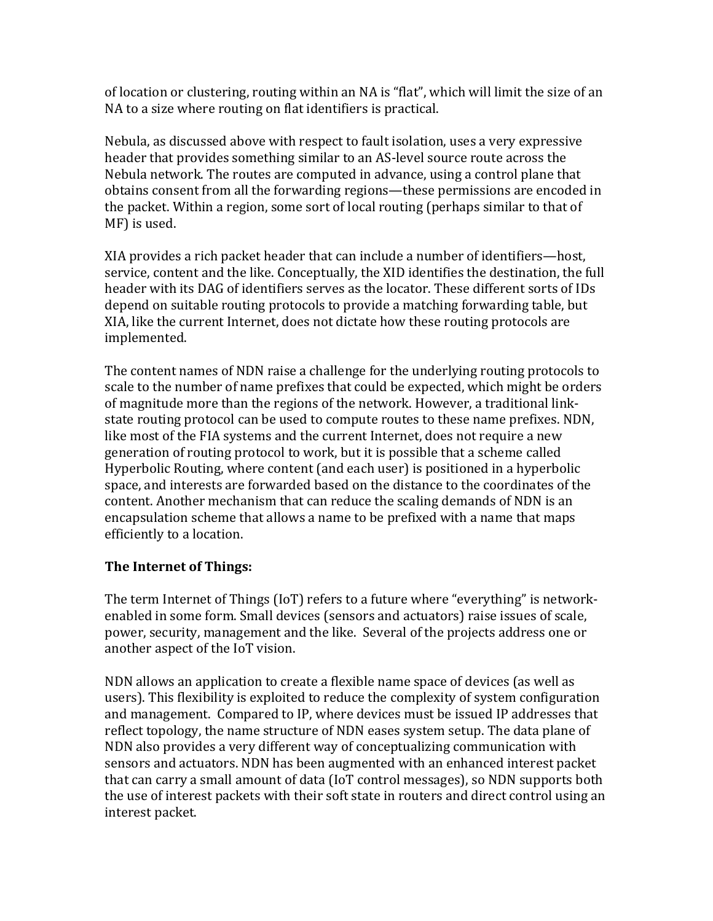of location or clustering, routing within an NA is "flat", which will limit the size of an NA to a size where routing on flat identifiers is practical.

Nebula, as discussed above with respect to fault isolation, uses a very expressive header that provides something similar to an AS-level source route across the Nebula network. The routes are computed in advance, using a control plane that obtains consent from all the forwarding regions—these permissions are encoded in the packet. Within a region, some sort of local routing (perhaps similar to that of MF) is used.

XIA provides a rich packet header that can include a number of identifiers—host, service, content and the like. Conceptually, the XID identifies the destination, the full header with its DAG of identifiers serves as the locator. These different sorts of IDs depend on suitable routing protocols to provide a matching forwarding table, but XIA, like the current Internet, does not dictate how these routing protocols are implemented. 

The content names of NDN raise a challenge for the underlying routing protocols to scale to the number of name prefixes that could be expected, which might be orders of magnitude more than the regions of the network. However, a traditional linkstate routing protocol can be used to compute routes to these name prefixes. NDN, like most of the FIA systems and the current Internet, does not require a new generation of routing protocol to work, but it is possible that a scheme called Hyperbolic Routing, where content (and each user) is positioned in a hyperbolic space, and interests are forwarded based on the distance to the coordinates of the content. Another mechanism that can reduce the scaling demands of NDN is an encapsulation scheme that allows a name to be prefixed with a name that maps efficiently to a location.

### **The Internet of Things:**

The term Internet of Things (IoT) refers to a future where "everything" is networkenabled in some form. Small devices (sensors and actuators) raise issues of scale, power, security, management and the like. Several of the projects address one or another aspect of the IoT vision.

NDN allows an application to create a flexible name space of devices (as well as users). This flexibility is exploited to reduce the complexity of system configuration and management. Compared to IP, where devices must be issued IP addresses that reflect topology, the name structure of NDN eases system setup. The data plane of NDN also provides a very different way of conceptualizing communication with sensors and actuators. NDN has been augmented with an enhanced interest packet that can carry a small amount of data (IoT control messages), so NDN supports both the use of interest packets with their soft state in routers and direct control using an interest packet.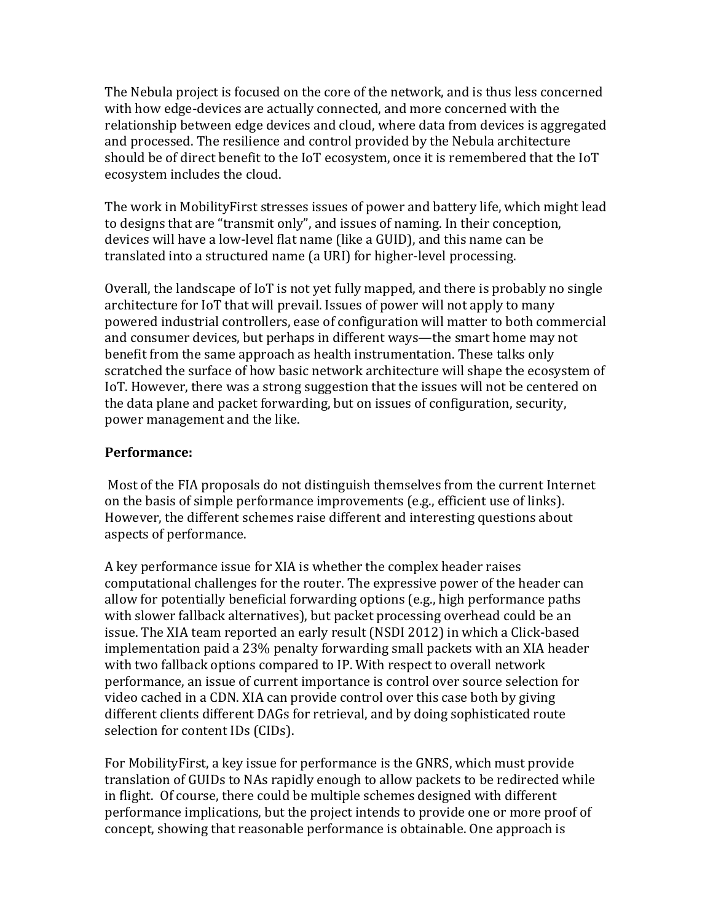The Nebula project is focused on the core of the network, and is thus less concerned with how edge-devices are actually connected, and more concerned with the relationship between edge devices and cloud, where data from devices is aggregated and processed. The resilience and control provided by the Nebula architecture should be of direct benefit to the IoT ecosystem, once it is remembered that the IoT ecosystem includes the cloud.

The work in MobilityFirst stresses issues of power and battery life, which might lead to designs that are "transmit only", and issues of naming. In their conception, devices will have a low-level flat name (like a GUID), and this name can be translated into a structured name (a URI) for higher-level processing.

Overall, the landscape of IoT is not yet fully mapped, and there is probably no single architecture for IoT that will prevail. Issues of power will not apply to many powered industrial controllers, ease of configuration will matter to both commercial and consumer devices, but perhaps in different ways—the smart home may not benefit from the same approach as health instrumentation. These talks only scratched the surface of how basic network architecture will shape the ecosystem of IoT. However, there was a strong suggestion that the issues will not be centered on the data plane and packet forwarding, but on issues of configuration, security, power management and the like.

#### **Performance:**

Most of the FIA proposals do not distinguish themselves from the current Internet on the basis of simple performance improvements  $(e.g.,$  efficient use of links). However, the different schemes raise different and interesting questions about aspects of performance.

A key performance issue for XIA is whether the complex header raises computational challenges for the router. The expressive power of the header can allow for potentially beneficial forwarding options  $(e.g., high)$  performance paths with slower fallback alternatives), but packet processing overhead could be an issue. The XIA team reported an early result (NSDI 2012) in which a Click-based implementation paid a 23% penalty forwarding small packets with an XIA header with two fallback options compared to IP. With respect to overall network performance, an issue of current importance is control over source selection for video cached in a CDN. XIA can provide control over this case both by giving different clients different DAGs for retrieval, and by doing sophisticated route selection for content IDs (CIDs).

For MobilityFirst, a key issue for performance is the GNRS, which must provide translation of GUIDs to NAs rapidly enough to allow packets to be redirected while in flight. Of course, there could be multiple schemes designed with different performance implications, but the project intends to provide one or more proof of concept, showing that reasonable performance is obtainable. One approach is